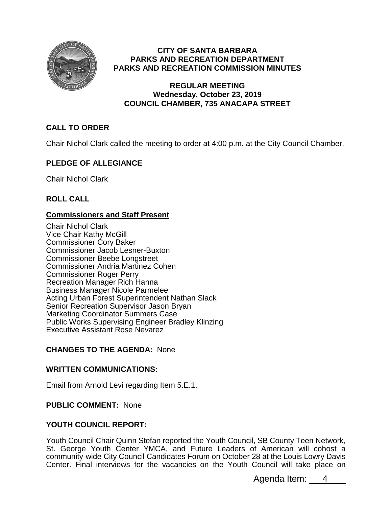

## **CITY OF SANTA BARBARA PARKS AND RECREATION DEPARTMENT PARKS AND RECREATION COMMISSION MINUTES**

## **REGULAR MEETING Wednesday, October 23, 2019 COUNCIL CHAMBER, 735 ANACAPA STREET**

# **CALL TO ORDER**

Chair Nichol Clark called the meeting to order at 4:00 p.m. at the City Council Chamber.

# **PLEDGE OF ALLEGIANCE**

Chair Nichol Clark

# **ROLL CALL**

# **Commissioners and Staff Present**

Chair Nichol Clark Vice Chair Kathy McGill Commissioner Cory Baker Commissioner Jacob Lesner-Buxton Commissioner Beebe Longstreet Commissioner Andria Martinez Cohen Commissioner Roger Perry Recreation Manager Rich Hanna Business Manager Nicole Parmelee Acting Urban Forest Superintendent Nathan Slack Senior Recreation Supervisor Jason Bryan Marketing Coordinator Summers Case Public Works Supervising Engineer Bradley Klinzing Executive Assistant Rose Nevarez

# **CHANGES TO THE AGENDA:** None

## **WRITTEN COMMUNICATIONS:**

Email from Arnold Levi regarding Item 5.E.1.

# **PUBLIC COMMENT:** None

# **YOUTH COUNCIL REPORT:**

Youth Council Chair Quinn Stefan reported the Youth Council, SB County Teen Network, St. George Youth Center YMCA, and Future Leaders of American will cohost a community-wide City Council Candidates Forum on October 28 at the Louis Lowry Davis Center. Final interviews for the vacancies on the Youth Council will take place on

Agenda Item: 4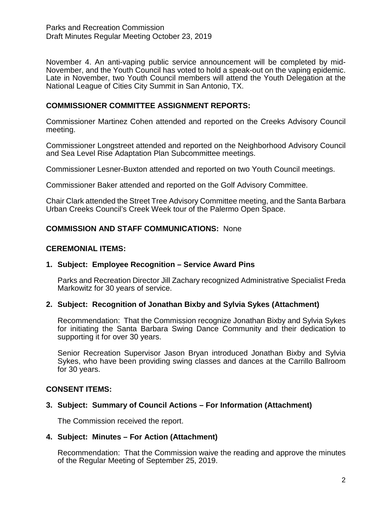Parks and Recreation Commission Draft Minutes Regular Meeting October 23, 2019

November 4. An anti-vaping public service announcement will be completed by mid-November, and the Youth Council has voted to hold a speak-out on the vaping epidemic. Late in November, two Youth Council members will attend the Youth Delegation at the National League of Cities City Summit in San Antonio, TX.

## **COMMISSIONER COMMITTEE ASSIGNMENT REPORTS:**

Commissioner Martinez Cohen attended and reported on the Creeks Advisory Council meeting.

Commissioner Longstreet attended and reported on the Neighborhood Advisory Council and Sea Level Rise Adaptation Plan Subcommittee meetings.

Commissioner Lesner-Buxton attended and reported on two Youth Council meetings.

Commissioner Baker attended and reported on the Golf Advisory Committee.

Chair Clark attended the Street Tree Advisory Committee meeting, and the Santa Barbara Urban Creeks Council's Creek Week tour of the Palermo Open Space.

## **COMMISSION AND STAFF COMMUNICATIONS:** None

### **CEREMONIAL ITEMS:**

## **1. Subject: Employee Recognition – Service Award Pins**

Parks and Recreation Director Jill Zachary recognized Administrative Specialist Freda Markowitz for 30 years of service.

## **2. Subject: Recognition of Jonathan Bixby and Sylvia Sykes (Attachment)**

Recommendation: That the Commission recognize Jonathan Bixby and Sylvia Sykes for initiating the Santa Barbara Swing Dance Community and their dedication to supporting it for over 30 years.

Senior Recreation Supervisor Jason Bryan introduced Jonathan Bixby and Sylvia Sykes, who have been providing swing classes and dances at the Carrillo Ballroom for 30 years.

## **CONSENT ITEMS:**

## **3. Subject: Summary of Council Actions – For Information (Attachment)**

The Commission received the report.

## **4. Subject: Minutes – For Action (Attachment)**

Recommendation: That the Commission waive the reading and approve the minutes of the Regular Meeting of September 25, 2019.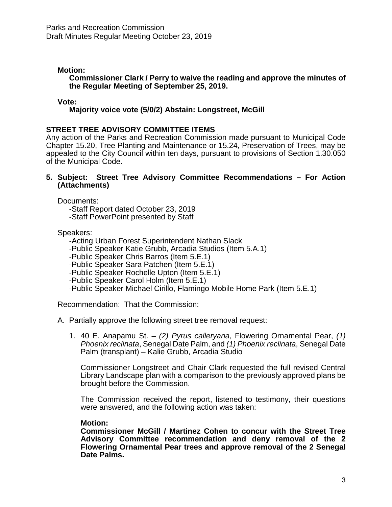## **Motion:**

**Commissioner Clark / Perry to waive the reading and approve the minutes of the Regular Meeting of September 25, 2019.**

### **Vote:**

## **Majority voice vote (5/0/2) Abstain: Longstreet, McGill**

## **STREET TREE ADVISORY COMMITTEE ITEMS**

Any action of the Parks and Recreation Commission made pursuant to Municipal Code Chapter 15.20, Tree Planting and Maintenance or 15.24, Preservation of Trees, may be appealed to the City Council within ten days, pursuant to provisions of Section 1.30.050 of the Municipal Code.

**5. Subject: Street Tree Advisory Committee Recommendations – For Action (Attachments)**

Documents:

-Staff Report dated October 23, 2019 -Staff PowerPoint presented by Staff

Speakers:

-Acting Urban Forest Superintendent Nathan Slack

-Public Speaker Katie Grubb, Arcadia Studios (Item 5.A.1)

-Public Speaker Chris Barros (Item 5.E.1)

-Public Speaker Sara Patchen (Item 5.E.1)

-Public Speaker Rochelle Upton (Item 5.E.1)

-Public Speaker Carol Holm (Item 5.E.1)

-Public Speaker Michael Cirillo, Flamingo Mobile Home Park (Item 5.E.1)

Recommendation: That the Commission:

A. Partially approve the following street tree removal request:

1. 40 E. Anapamu St. – *(2) Pyrus calleryana*, Flowering Ornamental Pear, *(1) Phoenix reclinata*, Senegal Date Palm, and *(1) Phoenix reclinata*, Senegal Date Palm (transplant) – Kalie Grubb, Arcadia Studio

Commissioner Longstreet and Chair Clark requested the full revised Central Library Landscape plan with a comparison to the previously approved plans be brought before the Commission.

The Commission received the report, listened to testimony, their questions were answered, and the following action was taken:

### **Motion:**

**Commissioner McGill / Martinez Cohen to concur with the Street Tree Advisory Committee recommendation and deny removal of the 2 Flowering Ornamental Pear trees and approve removal of the 2 Senegal Date Palms.**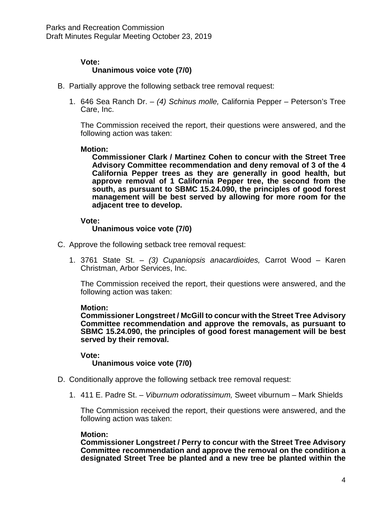#### **Vote: Unanimous voice vote (7/0)**

- B. Partially approve the following setback tree removal request:
	- 1. 646 Sea Ranch Dr. *(4) Schinus molle,* California Pepper *–* Peterson's Tree Care, Inc.

The Commission received the report, their questions were answered, and the following action was taken:

### **Motion:**

**Commissioner Clark / Martinez Cohen to concur with the Street Tree Advisory Committee recommendation and deny removal of 3 of the 4 California Pepper trees as they are generally in good health, but approve removal of 1 California Pepper tree, the second from the south, as pursuant to SBMC 15.24.090, the principles of good forest management will be best served by allowing for more room for the adjacent tree to develop.**

### **Vote:**

### **Unanimous voice vote (7/0)**

- C. Approve the following setback tree removal request:
	- 1. 3761 State St. *(3) Cupaniopsis anacardioides,* Carrot Wood Karen Christman, Arbor Services, Inc.

The Commission received the report, their questions were answered, and the following action was taken:

### **Motion:**

**Commissioner Longstreet / McGill to concur with the Street Tree Advisory Committee recommendation and approve the removals, as pursuant to SBMC 15.24.090, the principles of good forest management will be best served by their removal.**

#### **Vote: Unanimous voice vote (7/0)**

- D. Conditionally approve the following setback tree removal request:
	- 1. 411 E. Padre St. *Viburnum odoratissimum,* Sweet viburnum Mark Shields

The Commission received the report, their questions were answered, and the following action was taken:

### **Motion:**

**Commissioner Longstreet / Perry to concur with the Street Tree Advisory Committee recommendation and approve the removal on the condition a designated Street Tree be planted and a new tree be planted within the**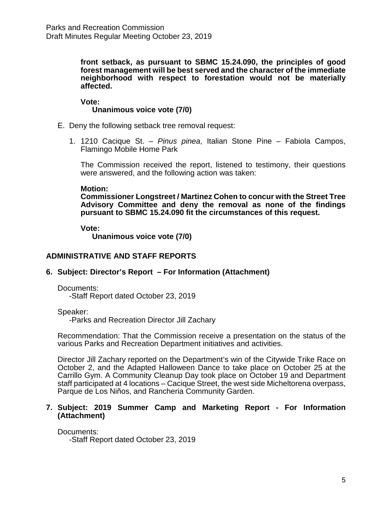**front setback, as pursuant to SBMC 15.24.090, the principles of good forest management will be best served and the character of the immediate neighborhood with respect to forestation would not be materially affected.**

**Vote: Unanimous voice vote (7/0)**

- E. Deny the following setback tree removal request:
	- 1. 1210 Cacique St. *Pinus pinea*, Italian Stone Pine Fabiola Campos, Flamingo Mobile Home Park

The Commission received the report, listened to testimony, their questions were answered, and the following action was taken:

#### **Motion:**

**Commissioner Longstreet / Martinez Cohen to concur with the Street Tree Advisory Committee and deny the removal as none of the findings pursuant to SBMC 15.24.090 fit the circumstances of this request.**

**Vote:**

**Unanimous voice vote (7/0)**

## **ADMINISTRATIVE AND STAFF REPORTS**

### **6. Subject: Director's Report – For Information (Attachment)**

Documents:

-Staff Report dated October 23, 2019

Speaker:

-Parks and Recreation Director Jill Zachary

Recommendation: That the Commission receive a presentation on the status of the various Parks and Recreation Department initiatives and activities.

Director Jill Zachary reported on the Department's win of the Citywide Trike Race on October 2, and the Adapted Halloween Dance to take place on October 25 at the Carrillo Gym. A Community Cleanup Day took place on October 19 and Department staff participated at 4 locations – Cacique Street, the west side Micheltorena overpass, Parque de Los Niños, and Rancheria Community Garden.

#### **7. Subject: 2019 Summer Camp and Marketing Report - For Information (Attachment)**

Documents: -Staff Report dated October 23, 2019